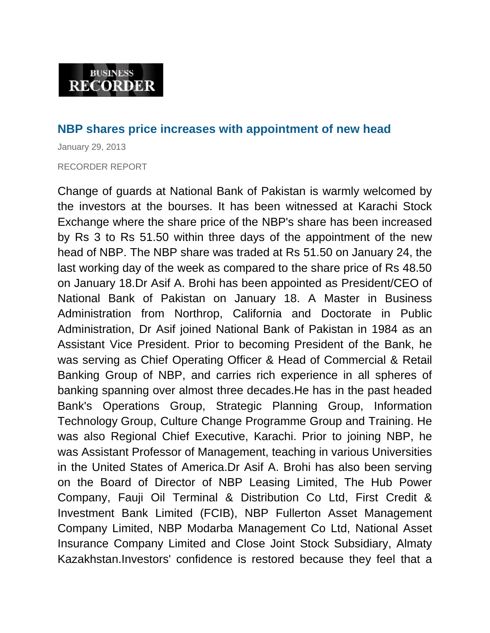## **NBP shares price increases with appointment of new head**

January 29, 2013 RECORDER REPORT

Change of guards at National Bank of Pakistan is warmly welcomed by the investors at the bourses. It has been witnessed at Karachi Stock Exchange where the share price of the NBP's share has been increased by Rs 3 to Rs 51.50 within three days of the appointment of the new head of NBP. The NBP share was traded at Rs 51.50 on January 24, the last working day of the week as compared to the share price of Rs 48.50 on January 18.Dr Asif A. Brohi has been appointed as President/CEO of National Bank of Pakistan on January 18. A Master in Business Administration from Northrop, California and Doctorate in Public Administration, Dr Asif joined National Bank of Pakistan in 1984 as an Assistant Vice President. Prior to becoming President of the Bank, he was serving as Chief Operating Officer & Head of Commercial & Retail Banking Group of NBP, and carries rich experience in all spheres of banking spanning over almost three decades.He has in the past headed Bank's Operations Group, Strategic Planning Group, Information Technology Group, Culture Change Programme Group and Training. He was also Regional Chief Executive, Karachi. Prior to joining NBP, he was Assistant Professor of Management, teaching in various Universities in the United States of America.Dr Asif A. Brohi has also been serving on the Board of Director of NBP Leasing Limited, The Hub Power Company, Fauji Oil Terminal & Distribution Co Ltd, First Credit & Investment Bank Limited (FCIB), NBP Fullerton Asset Management Company Limited, NBP Modarba Management Co Ltd, National Asset Insurance Company Limited and Close Joint Stock Subsidiary, Almaty Kazakhstan.Investors' confidence is restored because they feel that a